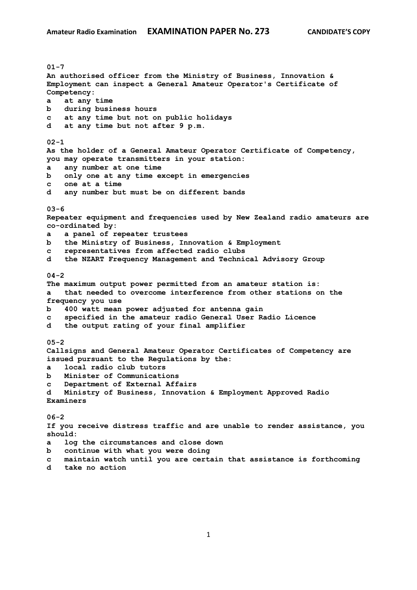**01-7 An authorised officer from the Ministry of Business, Innovation & Employment can inspect a General Amateur Operator's Certificate of Competency: a at any time b during business hours c at any time but not on public holidays d at any time but not after 9 p.m. 02-1 As the holder of a General Amateur Operator Certificate of Competency, you may operate transmitters in your station: a any number at one time b only one at any time except in emergencies c one at a time d any number but must be on different bands 03-6 Repeater equipment and frequencies used by New Zealand radio amateurs are co-ordinated by: a a panel of repeater trustees b the Ministry of Business, Innovation & Employment c representatives from affected radio clubs d the NZART Frequency Management and Technical Advisory Group 04-2 The maximum output power permitted from an amateur station is: a that needed to overcome interference from other stations on the frequency you use b 400 watt mean power adjusted for antenna gain c specified in the amateur radio General User Radio Licence d the output rating of your final amplifier 05-2 Callsigns and General Amateur Operator Certificates of Competency are issued pursuant to the Regulations by the: a local radio club tutors b Minister of Communications c Department of External Affairs d Ministry of Business, Innovation & Employment Approved Radio Examiners 06-2 If you receive distress traffic and are unable to render assistance, you should: a log the circumstances and close down b continue with what you were doing c maintain watch until you are certain that assistance is forthcoming**

**d take no action**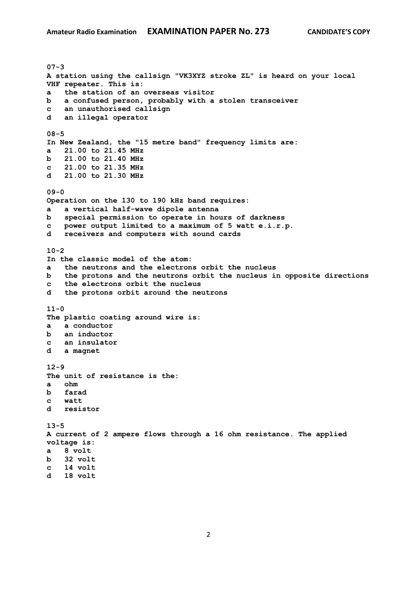**07-3 A station using the callsign "VK3XYZ stroke ZL" is heard on your local VHF repeater. This is: a the station of an overseas visitor b a confused person, probably with a stolen transceiver c an unauthorised callsign d an illegal operator 08-5 In New Zealand, the "15 metre band" frequency limits are: a 21.00 to 21.45 MHz b 21.00 to 21.40 MHz c 21.00 to 21.35 MHz d 21.00 to 21.30 MHz 09-0 Operation on the 130 to 190 kHz band requires: a a vertical half-wave dipole antenna b special permission to operate in hours of darkness c power output limited to a maximum of 5 watt e.i.r.p. d receivers and computers with sound cards 10-2 In the classic model of the atom: a the neutrons and the electrons orbit the nucleus b the protons and the neutrons orbit the nucleus in opposite directions c the electrons orbit the nucleus d the protons orbit around the neutrons 11-0 The plastic coating around wire is: a a conductor b an inductor c an insulator d a magnet 12-9 The unit of resistance is the: a ohm b farad c watt d resistor 13-5 A current of 2 ampere flows through a 16 ohm resistance. The applied voltage is: a 8 volt b 32 volt c 14 volt d 18 volt**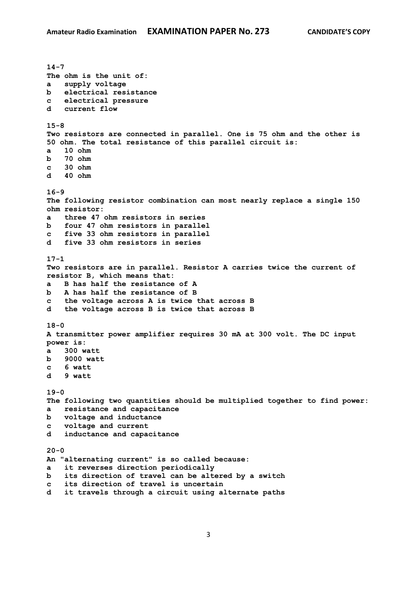**14-7 The ohm is the unit of: a supply voltage b electrical resistance c electrical pressure d current flow 15-8 Two resistors are connected in parallel. One is 75 ohm and the other is 50 ohm. The total resistance of this parallel circuit is: a 10 ohm b 70 ohm c 30 ohm d 40 ohm 16-9 The following resistor combination can most nearly replace a single 150 ohm resistor: a three 47 ohm resistors in series b four 47 ohm resistors in parallel c five 33 ohm resistors in parallel d five 33 ohm resistors in series 17-1 Two resistors are in parallel. Resistor A carries twice the current of resistor B, which means that: a B has half the resistance of A b A has half the resistance of B c the voltage across A is twice that across B d the voltage across B is twice that across B 18-0 A transmitter power amplifier requires 30 mA at 300 volt. The DC input power is: a 300 watt b 9000 watt c 6 watt d 9 watt 19-0 The following two quantities should be multiplied together to find power: a resistance and capacitance b voltage and inductance c voltage and current d inductance and capacitance 20-0 An "alternating current" is so called because: a it reverses direction periodically b its direction of travel can be altered by a switch c its direction of travel is uncertain d it travels through a circuit using alternate paths**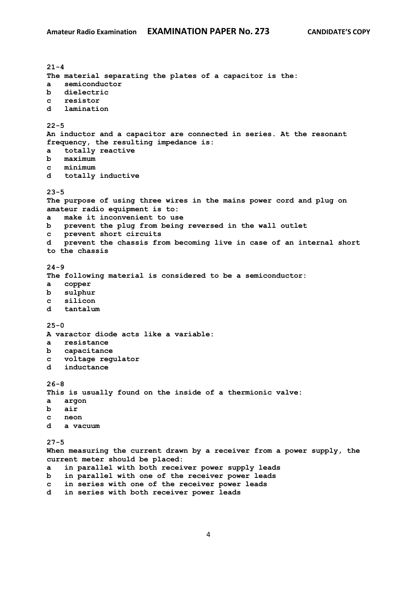**21-4 The material separating the plates of a capacitor is the: a semiconductor b dielectric c resistor d lamination 22-5 An inductor and a capacitor are connected in series. At the resonant frequency, the resulting impedance is: a totally reactive b maximum c minimum d totally inductive 23-5 The purpose of using three wires in the mains power cord and plug on amateur radio equipment is to: a make it inconvenient to use b prevent the plug from being reversed in the wall outlet c prevent short circuits d prevent the chassis from becoming live in case of an internal short to the chassis 24-9 The following material is considered to be a semiconductor: a copper b sulphur c silicon d tantalum 25-0 A varactor diode acts like a variable: a resistance b capacitance c voltage regulator d inductance 26-8 This is usually found on the inside of a thermionic valve: a argon b air c neon d a vacuum 27-5 When measuring the current drawn by a receiver from a power supply, the current meter should be placed: a in parallel with both receiver power supply leads b in parallel with one of the receiver power leads c in series with one of the receiver power leads**

**d in series with both receiver power leads**

4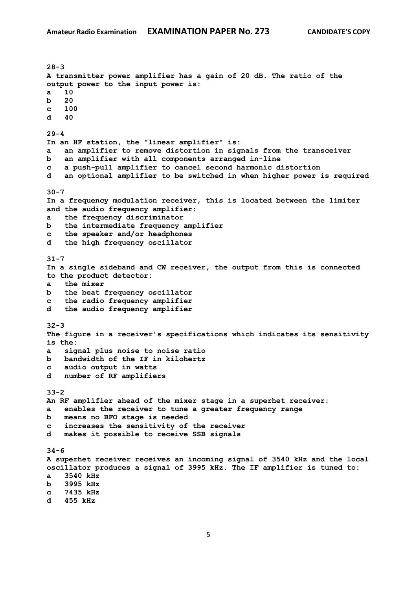**28-3 A transmitter power amplifier has a gain of 20 dB. The ratio of the output power to the input power is: a 10 b 20 c 100 d 40 29-4 In an HF station, the "linear amplifier" is: a an amplifier to remove distortion in signals from the transceiver b an amplifier with all components arranged in-line c a push-pull amplifier to cancel second harmonic distortion d an optional amplifier to be switched in when higher power is required 30-7 In a frequency modulation receiver, this is located between the limiter and the audio frequency amplifier: a the frequency discriminator b the intermediate frequency amplifier c the speaker and/or headphones d the high frequency oscillator 31-7 In a single sideband and CW receiver, the output from this is connected to the product detector: a the mixer b the beat frequency oscillator c the radio frequency amplifier d the audio frequency amplifier 32-3 The figure in a receiver's specifications which indicates its sensitivity is the: a signal plus noise to noise ratio b bandwidth of the IF in kilohertz c audio output in watts d number of RF amplifiers 33-2 An RF amplifier ahead of the mixer stage in a superhet receiver: a enables the receiver to tune a greater frequency range b means no BFO stage is needed c increases the sensitivity of the receiver d makes it possible to receive SSB signals 34-6 A superhet receiver receives an incoming signal of 3540 kHz and the local oscillator produces a signal of 3995 kHz. The IF amplifier is tuned to: a 3540 kHz b 3995 kHz c 7435 kHz d 455 kHz**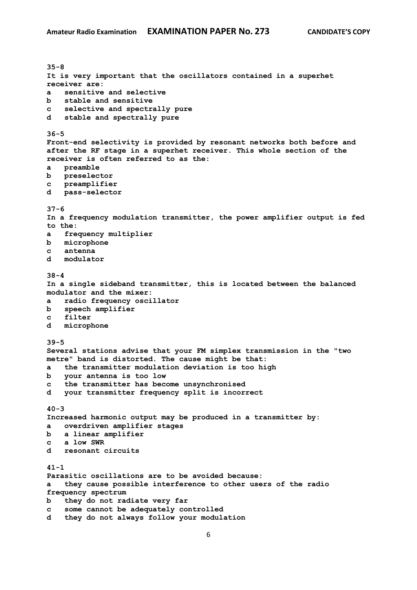**35-8 It is very important that the oscillators contained in a superhet receiver are: a sensitive and selective b stable and sensitive c selective and spectrally pure d stable and spectrally pure 36-5 Front-end selectivity is provided by resonant networks both before and after the RF stage in a superhet receiver. This whole section of the receiver is often referred to as the: a preamble b preselector c preamplifier d pass-selector 37-6 In a frequency modulation transmitter, the power amplifier output is fed to the: a frequency multiplier b microphone c antenna d modulator 38-4 In a single sideband transmitter, this is located between the balanced modulator and the mixer: a radio frequency oscillator b speech amplifier c filter d microphone 39-5 Several stations advise that your FM simplex transmission in the "two metre" band is distorted. The cause might be that: a the transmitter modulation deviation is too high b your antenna is too low c the transmitter has become unsynchronised d your transmitter frequency split is incorrect 40-3 Increased harmonic output may be produced in a transmitter by: a overdriven amplifier stages b a linear amplifier c a low SWR d resonant circuits 41-1 Parasitic oscillations are to be avoided because: a they cause possible interference to other users of the radio frequency spectrum b they do not radiate very far c some cannot be adequately controlled d they do not always follow your modulation**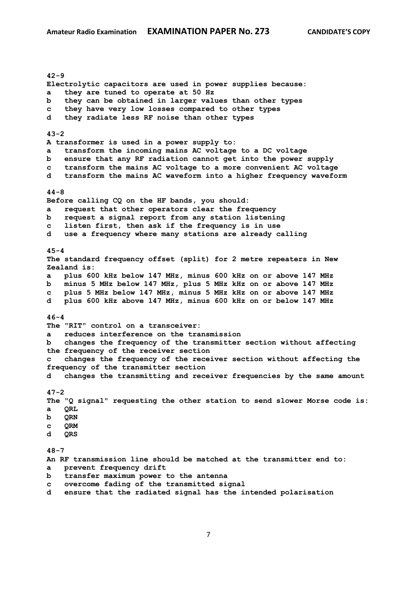**42-9 Electrolytic capacitors are used in power supplies because: a they are tuned to operate at 50 Hz b they can be obtained in larger values than other types c they have very low losses compared to other types d they radiate less RF noise than other types 43-2 A transformer is used in a power supply to: a transform the incoming mains AC voltage to a DC voltage b ensure that any RF radiation cannot get into the power supply c transform the mains AC voltage to a more convenient AC voltage d transform the mains AC waveform into a higher frequency waveform 44-8 Before calling CQ on the HF bands, you should: a request that other operators clear the frequency b request a signal report from any station listening c listen first, then ask if the frequency is in use d use a frequency where many stations are already calling 45-4 The standard frequency offset (split) for 2 metre repeaters in New Zealand is: a plus 600 kHz below 147 MHz, minus 600 kHz on or above 147 MHz b minus 5 MHz below 147 MHz, plus 5 MHz kHz on or above 147 MHz c plus 5 MHz below 147 MHz, minus 5 MHz kHz on or above 147 MHz d plus 600 kHz above 147 MHz, minus 600 kHz on or below 147 MHz 46-4 The "RIT" control on a transceiver: a reduces interference on the transmission b changes the frequency of the transmitter section without affecting the frequency of the receiver section c changes the frequency of the receiver section without affecting the frequency of the transmitter section d changes the transmitting and receiver frequencies by the same amount 47-2 The "Q signal" requesting the other station to send slower Morse code is: a QRL b QRN c QRM d QRS 48-7 An RF transmission line should be matched at the transmitter end to: a prevent frequency drift b transfer maximum power to the antenna c overcome fading of the transmitted signal d ensure that the radiated signal has the intended polarisation**

7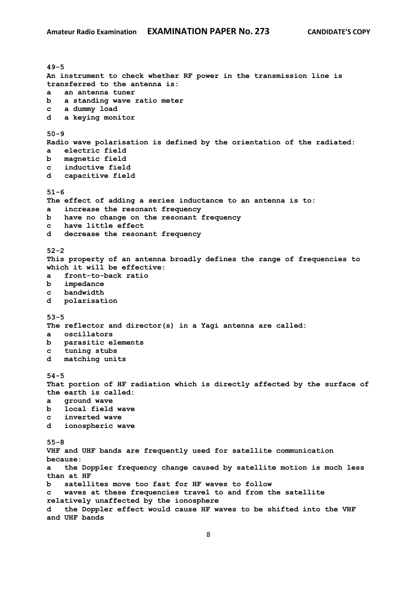**49-5 An instrument to check whether RF power in the transmission line is transferred to the antenna is: a an antenna tuner b a standing wave ratio meter c a dummy load d a keying monitor 50-9 Radio wave polarisation is defined by the orientation of the radiated: a electric field b magnetic field c inductive field d capacitive field 51-6 The effect of adding a series inductance to an antenna is to: a increase the resonant frequency b have no change on the resonant frequency c have little effect d decrease the resonant frequency 52-2 This property of an antenna broadly defines the range of frequencies to which it will be effective: a front-to-back ratio b impedance c bandwidth d polarisation 53-5 The reflector and director(s) in a Yagi antenna are called: a oscillators b parasitic elements c tuning stubs d matching units 54-5 That portion of HF radiation which is directly affected by the surface of the earth is called: a ground wave b local field wave c inverted wave d ionospheric wave 55-8 VHF and UHF bands are frequently used for satellite communication because: a the Doppler frequency change caused by satellite motion is much less than at HF b satellites move too fast for HF waves to follow c waves at these frequencies travel to and from the satellite relatively unaffected by the ionosphere d the Doppler effect would cause HF waves to be shifted into the VHF and UHF bands**